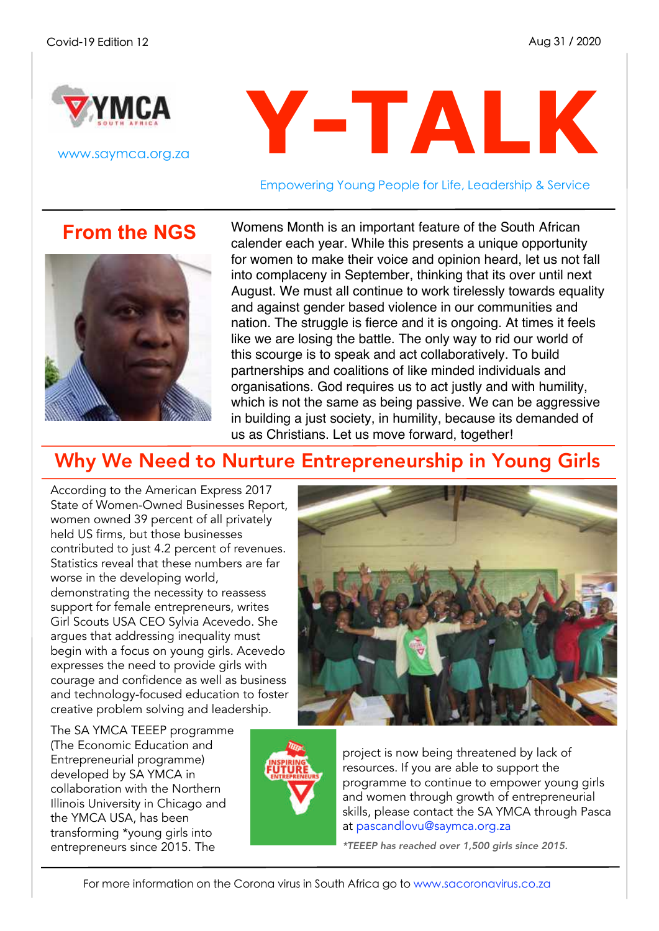

www.saymca.org.za

# **Y-TALK**

Empowering Young People for Life, Leadership & Service

**From the NGS**



Womens Month is an important feature of the South African calender each year. While this presents a unique opportunity for women to make their voice and opinion heard, let us not fall into complaceny in September, thinking that its over until next August. We must all continue to work tirelessly towards equality and against gender based violence in our communities and nation. The struggle is fierce and it is ongoing. At times it feels like we are losing the battle. The only way to rid our world of this scourge is to speak and act collaboratively. To build partnerships and coalitions of like minded individuals and organisations. God requires us to act justly and with humility, which is not the same as being passive. We can be aggressive in building a just society, in humility, because its demanded of us as Christians. Let us move forward, together!

## Why We Need to Nurture Entrepreneurship in Young Girls

According to the American Express 2017 State of Women-Owned Businesses Report, women owned 39 percent of all privately held US firms, but those businesses contributed to just 4.2 percent of revenues. Statistics reveal that these numbers are far worse in the developing world, demonstrating the necessity to reassess support for female entrepreneurs, writes Girl Scouts USA CEO Sylvia Acevedo. She argues that addressing inequality must begin with a focus on young girls. Acevedo expresses the need to provide girls with courage and confidence as well as business and technology-focused education to foster creative problem solving and leadership.

The SA YMCA TEEEP programme (The Economic Education and Entrepreneurial programme) developed by SA YMCA in collaboration with the Northern Illinois University in Chicago and the YMCA USA, has been transforming \*young girls into entrepreneurs since 2015. The



project is now being threatened by lack of resources. If you are able to support the programme to continue to empower young girls and women through growth of entrepreneurial skills, please contact the SA YMCA through Pasca at pascandlovu@saymca.org.za

*\*TEEEP has reached over 1,500 girls since 2015.*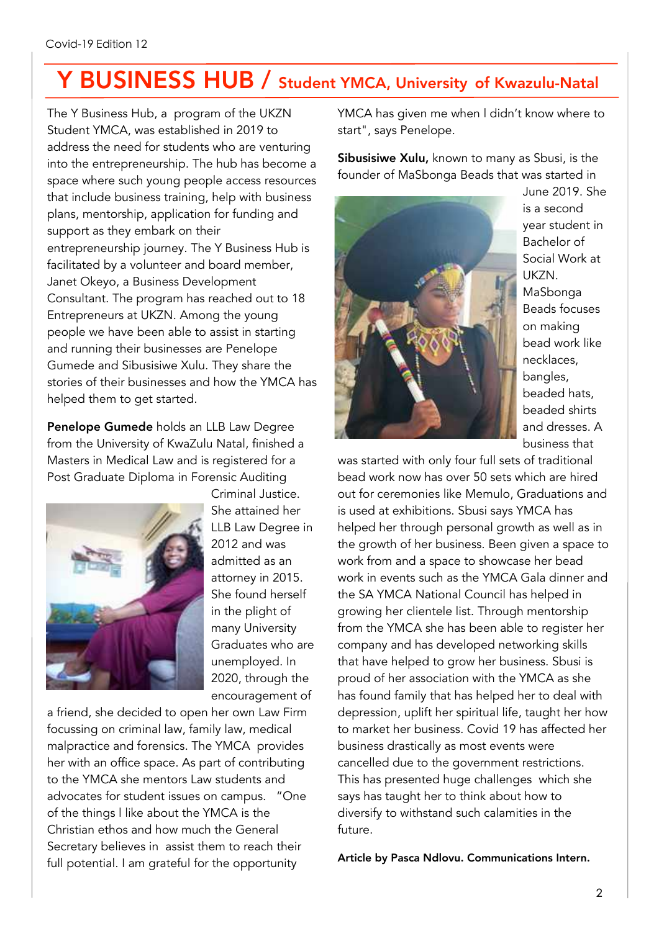## Y BUSINESS HUB / Student YMCA, University of Kwazulu-Natal

The Y Business Hub, a program of the UKZN Student YMCA, was established in 2019 to address the need for students who are venturing into the entrepreneurship. The hub has become a space where such young people access resources that include business training, help with business plans, mentorship, application for funding and support as they embark on their entrepreneurship journey. The Y Business Hub is facilitated by a volunteer and board member, Janet Okeyo, a Business Development Consultant. The program has reached out to 18 Entrepreneurs at UKZN. Among the young people we have been able to assist in starting and running their businesses are Penelope Gumede and Sibusisiwe Xulu. They share the stories of their businesses and how the YMCA has helped them to get started.

Penelope Gumede holds an LLB Law Degree from the University of KwaZulu Natal, finished a Masters in Medical Law and is registered for a Post Graduate Diploma in Forensic Auditing



Criminal Justice. She attained her LLB Law Degree in 2012 and was admitted as an attorney in 2015. She found herself in the plight of many University Graduates who are unemployed. In 2020, through the encouragement of

a friend, she decided to open her own Law Firm focussing on criminal law, family law, medical malpractice and forensics. The YMCA provides her with an office space. As part of contributing to the YMCA she mentors Law students and advocates for student issues on campus. "One of the things l like about the YMCA is the Christian ethos and how much the General Secretary believes in assist them to reach their full potential. I am grateful for the opportunity

YMCA has given me when l didn't know where to start", says Penelope.

Sibusisiwe Xulu, known to many as Sbusi, is the founder of MaSbonga Beads that was started in



June 2019. She is a second year student in Bachelor of Social Work at UKZN. MaSbonga Beads focuses on making bead work like necklaces, bangles, beaded hats, beaded shirts and dresses. A business that

was started with only four full sets of traditional bead work now has over 50 sets which are hired out for ceremonies like Memulo, Graduations and is used at exhibitions. Sbusi says YMCA has helped her through personal growth as well as in the growth of her business. Been given a space to work from and a space to showcase her bead work in events such as the YMCA Gala dinner and the SA YMCA National Council has helped in growing her clientele list. Through mentorship from the YMCA she has been able to register her company and has developed networking skills that have helped to grow her business. Sbusi is proud of her association with the YMCA as she has found family that has helped her to deal with depression, uplift her spiritual life, taught her how to market her business. Covid 19 has affected her business drastically as most events were cancelled due to the government restrictions. This has presented huge challenges which she says has taught her to think about how to diversify to withstand such calamities in the future.

Article by Pasca Ndlovu. Communications Intern.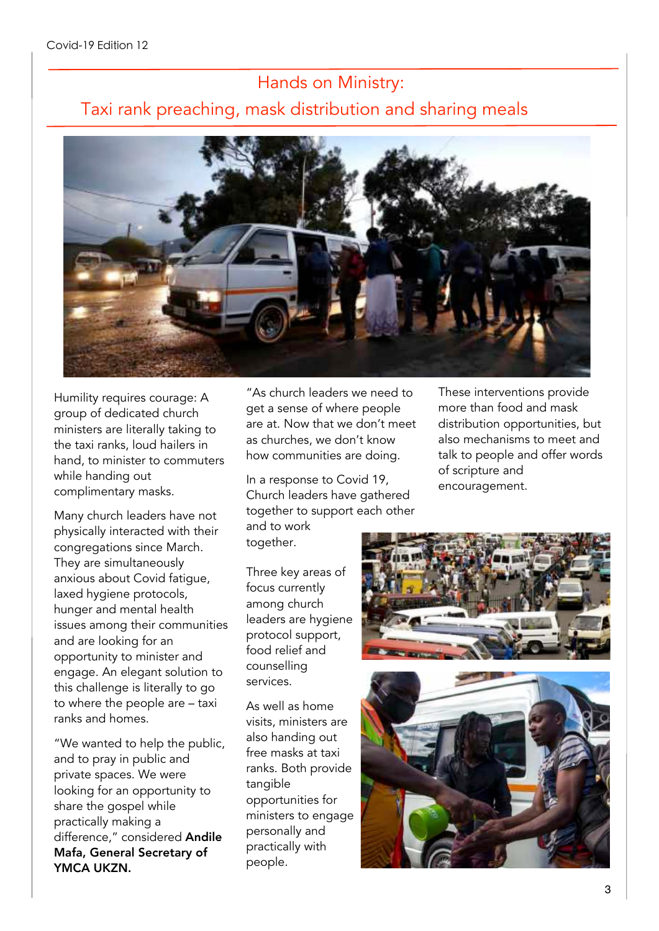## Hands on Ministry: Taxi rank preaching, mask distribution and sharing meals



Humility requires courage: A group of dedicated church ministers are literally taking to the taxi ranks, loud hailers in hand, to minister to commuters while handing out complimentary masks.

Many church leaders have not physically interacted with their congregations since March. They are simultaneously anxious about Covid fatigue, laxed hygiene protocols, hunger and mental health issues among their communities and are looking for an opportunity to minister and engage. An elegant solution to this challenge is literally to go to where the people are – taxi ranks and homes.

"We wanted to help the public, and to pray in public and private spaces. We were looking for an opportunity to share the gospel while practically making a difference," considered Andile Mafa, General Secretary of YMCA UKZN.

"As church leaders we need to get a sense of where people are at. Now that we don't meet as churches, we don't know how communities are doing.

In a response to Covid 19, Church leaders have gathered together to support each other These interventions provide more than food and mask distribution opportunities, but also mechanisms to meet and talk to people and offer words of scripture and encouragement.

and to work together.

Three key areas of focus currently among church leaders are hygiene protocol support, food relief and counselling services.

As well as home visits, ministers are also handing out free masks at taxi ranks. Both provide tangible opportunities for ministers to engage personally and practically with people.



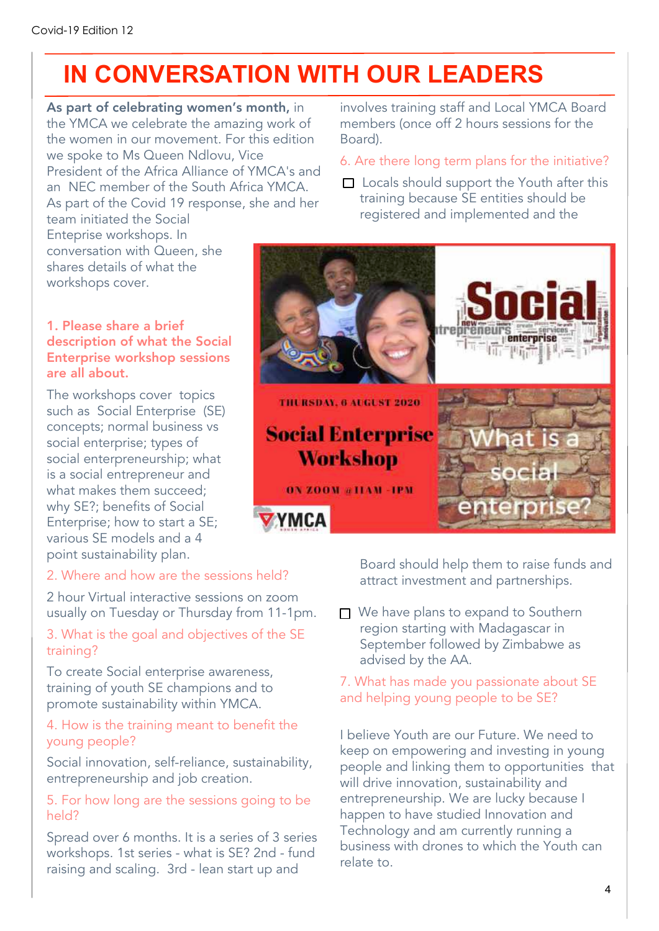## **IN CONVERSATION WITH OUR LEADERS**

As part of celebrating women's month, in the YMCA we celebrate the amazing work of the women in our movement. For this edition we spoke to Ms Queen Ndlovu, Vice President of the Africa Alliance of YMCA's and an NEC member of the South Africa YMCA. As part of the Covid 19 response, she and her

team initiated the Social Enteprise workshops. In conversation with Queen, she shares details of what the workshops cover.

#### 1. Please share a brief description of what the Social Enterprise workshop sessions are all about.

The workshops cover topics such as Social Enterprise (SE) concepts; normal business vs social enterprise; types of social enterpreneurship; what is a social entrepreneur and what makes them succeed; why SE?; benefits of Social Enterprise; how to start a SE; various SE models and a 4 point sustainability plan.

#### 2. Where and how are the sessions held?

2 hour Virtual interactive sessions on zoom usually on Tuesday or Thursday from 11-1pm.

#### 3. What is the goal and objectives of the SE training?

To create Social enterprise awareness, training of youth SE champions and to promote sustainability within YMCA.

#### 4. How is the training meant to benefit the young people?

Social innovation, self-reliance, sustainability, entrepreneurship and job creation.

#### 5. For how long are the sessions going to be held?

Spread over 6 months. It is a series of 3 series workshops. 1st series - what is SE? 2nd - fund raising and scaling. 3rd - lean start up and

involves training staff and Local YMCA Board members (once off 2 hours sessions for the Board).

#### 6. Are there long term plans for the initiative?

 $\Box$  Locals should support the Youth after this training because SE entities should be registered and implemented and the



Board should help them to raise funds and attract investment and partnerships.

□ We have plans to expand to Southern region starting with Madagascar in September followed by Zimbabwe as advised by the AA.

#### 7. What has made you passionate about SE and helping young people to be SE?

I believe Youth are our Future. We need to keep on empowering and investing in young people and linking them to opportunities that will drive innovation, sustainability and entrepreneurship. We are lucky because I happen to have studied Innovation and Technology and am currently running a business with drones to which the Youth can relate to.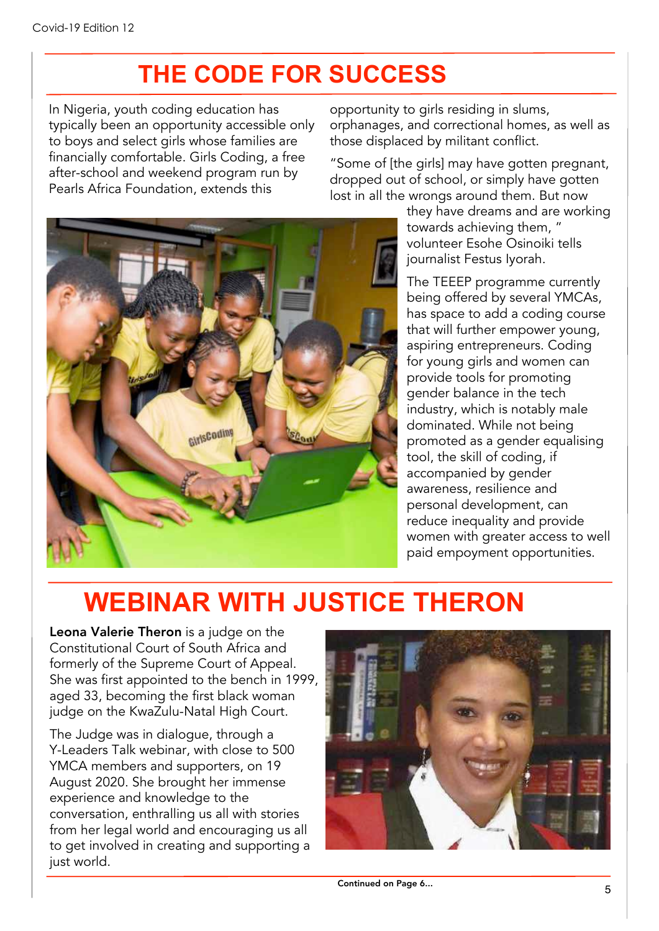## **THE CODE FOR SUCCESS**

In Nigeria, youth coding education has typically been an opportunity accessible only to boys and select girls whose families are financially comfortable. Girls Coding, a free after-school and weekend program run by Pearls Africa Foundation, extends this

opportunity to girls residing in slums, orphanages, and correctional homes, as well as those displaced by militant conflict.

"Some of [the girls] may have gotten pregnant, dropped out of school, or simply have gotten lost in all the wrongs around them. But now

GirlsCoding

they have dreams and are working towards achieving them, " volunteer Esohe Osinoiki tells journalist Festus Iyorah.

The TEEEP programme currently being offered by several YMCAs, has space to add a coding course that will further empower young, aspiring entrepreneurs. Coding for young girls and women can provide tools for promoting gender balance in the tech industry, which is notably male dominated. While not being promoted as a gender equalising tool, the skill of coding, if accompanied by gender awareness, resilience and personal development, can reduce inequality and provide women with greater access to well paid empoyment opportunities.

## **WEBINAR WITH JUSTICE THERON**

Leona Valerie Theron is a judge on the Constitutional Court of South Africa and formerly of the Supreme Court of Appeal. She was first appointed to the bench in 1999, aged 33, becoming the first black woman judge on the KwaZulu-Natal High Court.

The Judge was in dialogue, through a Y-Leaders Talk webinar, with close to 500 YMCA members and supporters, on 19 August 2020. She brought her immense experience and knowledge to the conversation, enthralling us all with stories from her legal world and encouraging us all to get involved in creating and supporting a just world.



Continued on Page 6...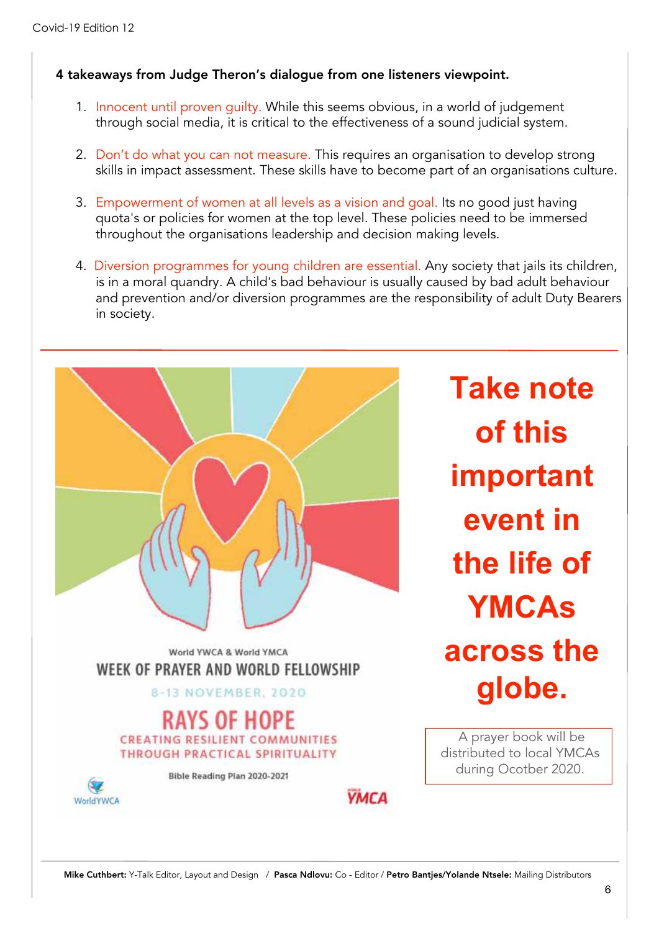#### 4 takeaways from Judge Theron's dialogue from one listeners viewpoint.

- 1. Innocent until proven guilty. While this seems obvious, in a world of judgement through social media, it is critical to the effectiveness of a sound judicial system.
- 2. Don't do what you can not measure. This requires an organisation to develop strong skills in impact assessment. These skills have to become part of an organisations culture.
- 3. Empowerment of women at all levels as a vision and goal. Its no good just having quota's or policies for women at the top level. These policies need to be immersed throughout the organisations leadership and decision making levels.
- 4. Diversion programmes for young children are essential. Any society that jails its children, is in a moral quandry. A child's bad behaviour is usually caused by bad adult behaviour and prevention and/or diversion programmes are the responsibility of adult Duty Bearers in society.



**Take note of this important event in the life of YMCAs across the globe.**

A prayer book will be distributed to local YMCAs during Ocotber 2020.